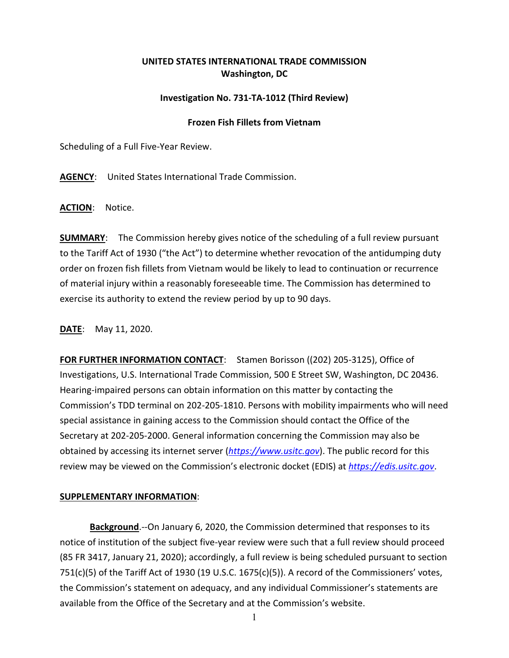## **UNITED STATES INTERNATIONAL TRADE COMMISSION Washington, DC**

## **Investigation No. 731-TA-1012 (Third Review)**

## **Frozen Fish Fillets from Vietnam**

Scheduling of a Full Five-Year Review.

**AGENCY**: United States International Trade Commission.

**ACTION**: Notice.

**SUMMARY**: The Commission hereby gives notice of the scheduling of a full review pursuant to the Tariff Act of 1930 ("the Act") to determine whether revocation of the antidumping duty order on frozen fish fillets from Vietnam would be likely to lead to continuation or recurrence of material injury within a reasonably foreseeable time. The Commission has determined to exercise its authority to extend the review period by up to 90 days.

**DATE**: May 11, 2020.

**FOR FURTHER INFORMATION CONTACT**: Stamen Borisson ((202) 205-3125), Office of Investigations, U.S. International Trade Commission, 500 E Street SW, Washington, DC 20436. Hearing-impaired persons can obtain information on this matter by contacting the Commission's TDD terminal on 202-205-1810. Persons with mobility impairments who will need special assistance in gaining access to the Commission should contact the Office of the Secretary at 202-205-2000. General information concerning the Commission may also be obtained by accessing its internet server (*[https://www.usitc.gov](https://www.usitc.gov/)*). The public record for this review may be viewed on the Commission's electronic docket (EDIS) at *[https://edis.usitc.gov](https://edis.usitc.gov/)*.

## **SUPPLEMENTARY INFORMATION**:

**Background**.--On January 6, 2020, the Commission determined that responses to its notice of institution of the subject five-year review were such that a full review should proceed (85 FR 3417, January 21, 2020); accordingly, a full review is being scheduled pursuant to section 751(c)(5) of the Tariff Act of 1930 (19 U.S.C. 1675(c)(5)). A record of the Commissioners' votes, the Commission's statement on adequacy, and any individual Commissioner's statements are available from the Office of the Secretary and at the Commission's website.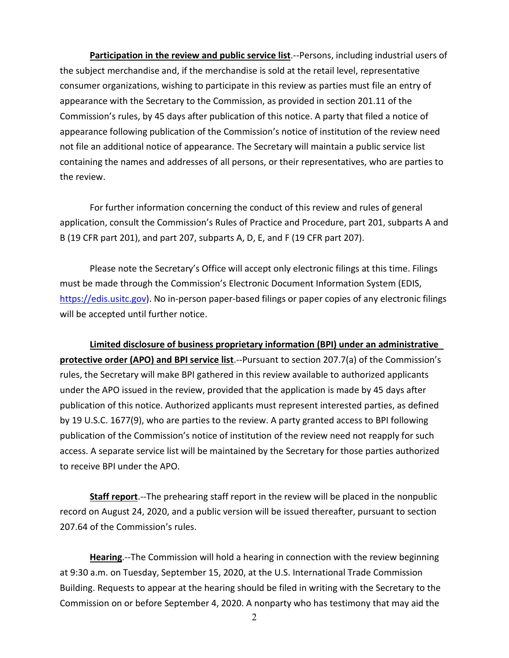**Participation in the review and public service list**.--Persons, including industrial users of the subject merchandise and, if the merchandise is sold at the retail level, representative consumer organizations, wishing to participate in this review as parties must file an entry of appearance with the Secretary to the Commission, as provided in section 201.11 of the Commission's rules, by 45 days after publication of this notice. A party that filed a notice of appearance following publication of the Commission's notice of institution of the review need not file an additional notice of appearance. The Secretary will maintain a public service list containing the names and addresses of all persons, or their representatives, who are parties to the review.

For further information concerning the conduct of this review and rules of general application, consult the Commission's Rules of Practice and Procedure, part 201, subparts A and B (19 CFR part 201), and part 207, subparts A, D, E, and F (19 CFR part 207).

Please note the Secretary's Office will accept only electronic filings at this time. Filings must be made through the Commission's Electronic Document Information System (EDIS, [https://edis.usitc.gov\)](https://edis.usitc.gov/). No in-person paper-based filings or paper copies of any electronic filings will be accepted until further notice.

**Limited disclosure of business proprietary information (BPI) under an administrative protective order (APO) and BPI service list**.--Pursuant to section 207.7(a) of the Commission's rules, the Secretary will make BPI gathered in this review available to authorized applicants under the APO issued in the review, provided that the application is made by 45 days after publication of this notice. Authorized applicants must represent interested parties, as defined by 19 U.S.C. 1677(9), who are parties to the review. A party granted access to BPI following publication of the Commission's notice of institution of the review need not reapply for such access. A separate service list will be maintained by the Secretary for those parties authorized to receive BPI under the APO.

**Staff report**.--The prehearing staff report in the review will be placed in the nonpublic record on August 24, 2020, and a public version will be issued thereafter, pursuant to section 207.64 of the Commission's rules.

**Hearing**.--The Commission will hold a hearing in connection with the review beginning at 9:30 a.m. on Tuesday, September 15, 2020, at the U.S. International Trade Commission Building. Requests to appear at the hearing should be filed in writing with the Secretary to the Commission on or before September 4, 2020. A nonparty who has testimony that may aid the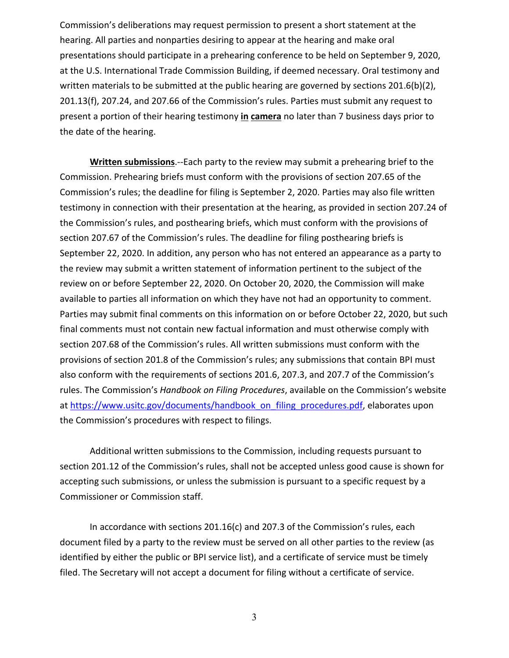Commission's deliberations may request permission to present a short statement at the hearing. All parties and nonparties desiring to appear at the hearing and make oral presentations should participate in a prehearing conference to be held on September 9, 2020, at the U.S. International Trade Commission Building, if deemed necessary. Oral testimony and written materials to be submitted at the public hearing are governed by sections 201.6(b)(2), 201.13(f), 207.24, and 207.66 of the Commission's rules. Parties must submit any request to present a portion of their hearing testimony **in camera** no later than 7 business days prior to the date of the hearing.

**Written submissions**.--Each party to the review may submit a prehearing brief to the Commission. Prehearing briefs must conform with the provisions of section 207.65 of the Commission's rules; the deadline for filing is September 2, 2020. Parties may also file written testimony in connection with their presentation at the hearing, as provided in section 207.24 of the Commission's rules, and posthearing briefs, which must conform with the provisions of section 207.67 of the Commission's rules. The deadline for filing posthearing briefs is September 22, 2020. In addition, any person who has not entered an appearance as a party to the review may submit a written statement of information pertinent to the subject of the review on or before September 22, 2020. On October 20, 2020, the Commission will make available to parties all information on which they have not had an opportunity to comment. Parties may submit final comments on this information on or before October 22, 2020, but such final comments must not contain new factual information and must otherwise comply with section 207.68 of the Commission's rules. All written submissions must conform with the provisions of section 201.8 of the Commission's rules; any submissions that contain BPI must also conform with the requirements of sections 201.6, 207.3, and 207.7 of the Commission's rules. The Commission's *Handbook on Filing Procedures*, available on the Commission's website at [https://www.usitc.gov/documents/handbook\\_on\\_filing\\_procedures.pdf,](https://www.usitc.gov/documents/handbook_on_filing_procedures.pdf) elaborates upon the Commission's procedures with respect to filings.

Additional written submissions to the Commission, including requests pursuant to section 201.12 of the Commission's rules, shall not be accepted unless good cause is shown for accepting such submissions, or unless the submission is pursuant to a specific request by a Commissioner or Commission staff.

In accordance with sections 201.16(c) and 207.3 of the Commission's rules, each document filed by a party to the review must be served on all other parties to the review (as identified by either the public or BPI service list), and a certificate of service must be timely filed. The Secretary will not accept a document for filing without a certificate of service.